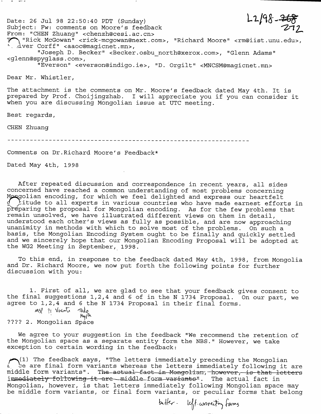$L2/98 - \frac{268}{272}$ **Date: 26 Jul 98 22:50:40 PDT (Sunday) Subject: Fw: comments on Moore's feedback From: "CHEN Zhuang" <[chenzh@cesi.ac.cn](mailto:chenzh@cesi.ac.cn)>** *TT^* **" Rick McGowan" [<rick-mcgowan@next.com](mailto:rick-mcgowan@next.com)>, "Richard Moore" [<rm@iist.unu.edu>](mailto:rm@iist.unu.edu), \_ /Iver Corff" <aaoc@magicnet. mn>, "Joseph D. Becker" [<Becker.osbu\\_north@xerox.com](mailto:Becker.osbu_north@xerox.com)>, "Glenn Adams" <[glenn@spyglass.com>](mailto:glenn@spyglass.com), "Everson" [<everson@indigo.ie](mailto:everson@indigo.ie)>, "D. Orgilt" <[MNCSM@magicnet.mn](mailto:MNCSM@magicnet.mn)>**

**Dear Mr. Whistler,**

**The attachment is the comments on Mr. Moore's feedback dated May 4th. It is prepared by Prof. Choijingzhab. <sup>I</sup> will appreciate you if you can consider it when you are discussing Mongolian issue at UTC meeting.**

**Best regards,**

**CHEN Zhuang**

**March Monte** 

**Comments on Dr.Richard Moore's Feedback\***

**Dated May 4th, 1998**

**After repeated discussion and correspondence in recent years, all sides concerned have reached a common understanding of most problems concerning Mpjq^olian encoding, for which we feel delighted and express our heartfelt** *q* **^itude to all experts in various countries who have made earnest efforts in preparing the proposal for Mongolian encoding. As for the few problems that remain unsolved, we have illustrated different views on them in detail, understood each other's views as fully as possible, and are now approaching unanimity in methods with which to solve most of the problems. On such a basis, the Mongolian Encoding System ought to be finally and quickly settled and we sincerely hope that our Mongolian Encoding Proposal will be adopted at the WG2 Meeting in September, 1998.**

**To this end, in response to the feedback dated May 4th, 1998, from Mongolia and Dr. Richard Moore, we now put forth the following points for further discussion with you:**

**1. First of all, we are glad to see that your feedback gives consent to the final suggestions 1,2,4 and <sup>6</sup> of in the N 1734 Proposal. On our part, we agree to 1,2,4 and <sup>6</sup> the N 1734 Proposal in their final forms.**

**M.S(^ ?! 'Tb** Myfh **???? 2. Mongolian Space**

**We agree to your suggestion in the feedback "We recommend the retention of the Mongolian space as a separate entity form the NBS." However, we take exception to certain wording in the feedback:**

**The feedback says, "The letters immediately preceding the Mongolian <sup>t</sup> be are final form variants whereas the letters immediately following it are** middle form variants". The actual fact in Mongolian, however, is that letters **immediately following it are—middle form variants".** The actual fact in **Mongolian, however, is that letters immediately following Mongolian space may be middle form variants, or final form variants, or peculiar forms that belong**

better- left.connecting farms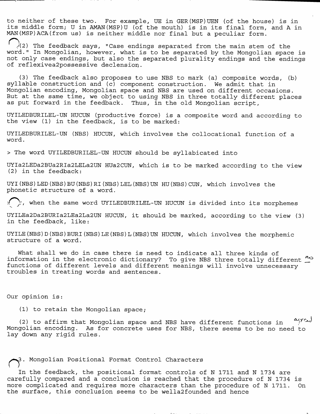**to neither of these two. For example, UE in GER(MSP)UEN (of the house) is in its middle form; U in AMAN(MSP)U (of the mouth) is in its final form, and A in MAN(MSP)ACA(from us) is neither middle nor final but a peculiar form.**

o,**y(2) The feedback says, "Case endings separated from the main stem of the word." In Mongolian, however, what is to be separated by the Mongolian space is not only case endings, but also the separated plurality endings and the endings of reflexivea2possessive declension.**

**(3) The feedback also proposes to use NBS to mark (a) composite words, (b) syllable construction and (c) component construction. We admit that in Mongolian encoding, Mongolian space and NBS are used on different occasions. But at the same time, we object to using NBS in three totally different places as put forward in the feedback. Thus, in the old Mongolian script,**

**UYILEDBURILEL-UN HUCUN (productive force) is a composite word and according to the view (1) in the feedback, is to be marked:**

**UYILEDBURILEL-UN (NBS) HUCUN, which involves the collocational function of a word.**

**> The word UYILEDBURILEL-UN HUCUN should be syllabicated into**

**UYIa2LEDa2BUa2RIa2LELa2UN HUa2CUN, which is to be marked according to the view (2) in the feedback:**

**UYI(NBS)LED(NBS)BU(NBS)RI(NBS)LEL(NBS)UN HU(NBS)CUN, which involves the phonetic structure of a word.**

*<sup>i</sup>* **when the same word UYILEDBURILEL-UN HUCUN is divided into its morphemes**

**UYILEa2Da2BURIa2LEa2La2UN HUCUN, it should be marked, according to the view (3) in the feedback, like:**

**UYILE(NBS)D(NBS)BURI(NBS)LE(NBS)L(NBS)UN HUCUN, which involves the morphemic structure of a word.**

**What shall we do in case there is need to indicate all three kinds of information in the electronic dictionary? To give NBS three totally different** *^* **functions of different levels and different meanings will involve unnecessary troubles in treating words and sentences.**

**Our opinion is:**

**(1) to retain the Mongolian space;**

agreed **(2) to affirm that Mongolian space and NBS have different functions in Mongolian encoding. As for concrete uses for NBS, there seems to be no need to lay down any rigid rules.**

## **Mongolian Positional Format Control Characters**

**In the feedback, the positional format controls of N 1711 and N 1734 are carefully compared and a conclusion is reached that the procedure of N 1734 is more complicated and requires more characters than the procedure of N 1711. On the surface, this conclusion seems to be wella2founded and hence**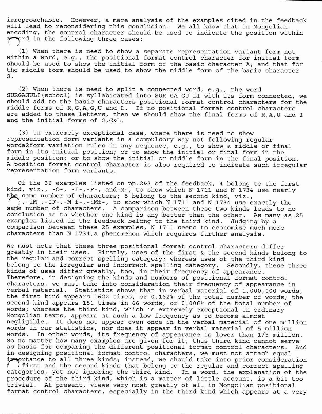**irreproachable. However, a mere analysis of the examples cited in the feedback will lead to reconsidering this conclusion. We all know that in Mongolian encoding, the control character should be used to indicate the position within**  $\bullet$ rd in the following three cases:

**(1) When there is need to show a separate representation variant form not within a word, e.g., the positional format control character for initial form should be used to show the initial form of the basic character A; and that for the middle form should be used to show the middle form of the basic character G.**

**(2) When there is need to split a connected word, e.g., the word SURGAGULI(school) is syllabicated into SUR GA GU LI with its form connected, we should add to the basic characters positional format control characters for the middle forms of R,G,A,G,U and L. If no positional format control characters are added to these letters, then we should show the final forms of R,A,U and <sup>I</sup> and the initial forms of G,G&L.**

**(3) In extremely exceptional case, where there is need to show representation form variants in a compulsory way not following regular worda2form variation rules in any sequence, e.g., to show a middle or final form in its initial position; or to show the initial or final form in the middle position; or to show the initial or middle form in the final position. A position format control character is also required to indicate such irregular representation form variants.**

**Of the 36 examples listed on pp.2&3 of the feedback, 4 belong to the first kind, viz., -0-, -I-,-F-, and-M-, to show which N 1711 and N 1734 use nearly the same number of characters; 5 belong to the second kind, viz., <sup>i</sup> - iM-, - IF-,-M f-,-iMf-, to show which N 1711 and N 1734 use exactly the satTte number of characters. A comparison between these two kinds leads to no conclusion as to whether one kind is any better than the other. As many as 25 examples listed in the feedback belong to the third kind. Judging by a comparison between these 25 examples, N 1711 seems to economize much more characters than N 1734,a phenomenon which requires further analysis.**

**We must note that these three positional format control characters differ greatly in their uses. Firstly, uses of the first & the second kinds belong to the regular and correct spelling category; whereas uses of the third kind belong to the irregular and incorrect spelling category. Secondly, these three kinds of uses differ greatly, too, in their frequency of appearance. Therefore, in designing the kinds and numbers of positional format control characters, we must take into consideration their frequency of appearance in verbal material. Statistics shows that in verbal material of 1,000,000 words, the first kind appears 1622 times, or 0.162% of the total number of words; the second kind appears 181 times in 66 words, or 0.006% of the total number of words; whereas the third kind, which is extremely exceptional in ordinary Mongolian texts, appears at such a low frequency as to become almost negligible. It does not appear even once in the verbal material of one million words in our statistics, nor does it appear in verbal material of 5 million words. In other words, its frequency of appearance is lower than 1/5 million. So no matter how many examples are given for it, this third kind cannot serve as basis for comparing the different positional format control characters. And in designing positional format control characters, we must not attach equal** in portance to all three kinds; instead, we should take into prior consideration<br>
i ) first and the second kinds that belong to the regular and correct spelling<br>
categories, yet not ignoring the third kind. In a word, the **)first and the second kinds that belong to the regular and correct spelling categories, yet not ignoring the third kind. In a word, the explanation of the procedure of the third kind, which is a matter of little account, is a bit too trivial. At present, views vary most greatly of all in Mongolian positional format control characters, especially in the third kind which appears at a very**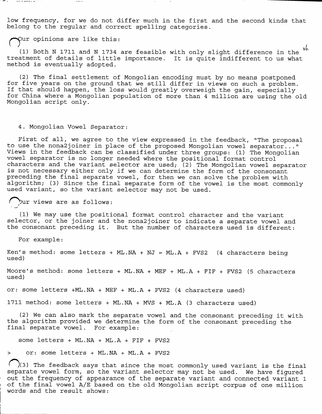**low frequency, for we do not differ much in the first and the second kinds that belong to the regular and correct spelling categories.**

**ur opinions are like this:**

ं अनेका के कार्य को प्राप्त

**(1) Both N 1711 and N 1734 are feasible with only slight difference in the treatment of details of little importance. It is quite indifferent to us what method is eventually adopted. 6(c.**

**(2) The final settlement of Mongolian encoding must by no means postponed for five years on the ground that we still differ in views on such a problem. If that should happen, the loss would greatly overweigh the gain, especially for China where a Mongolian population of more than 4 million are using the old Mongolian script only.**

## **4. Mongolian Vowel Separator:**

**First of all, we agree to the view expressed in the feedback, "The proposal to use the nona2joiner in place of the proposed Mongolian vowel separator..." Views in the feedback can be classified under three groups: (1) The Mongolian vowel separator is no longer needed where the positional format control characters and the variant selector are used; (2) The Mongolian vowel separator is not necessary either only if we can determine the form of the consonant preceding the final separate vowel, for then we can solve the problem with algorithm; (3) Since the final separate form of the vowel is the most commonly used variant, so the variant selector may not be used.**

**^^"^ur views are as follows:** *j*

**(1) We may use the positional format control character and the variant selector, or the joiner and the nona2joiner to indicate a separate vowel and the consonant preceding it. But the number of characters used is different:**

**For example:**

**Ken's method: some letters + ML.NA + NJ = ML.A + FVS2 (4 characters being used)**

**Moore's method: some letters + ML.NA + MEF + ML.A + FIF + FVS2 (5 characters used)**

**or: some letters +ML.NA + MEF + ML.A + FVS2 (4 characters used)**

**1711 method: some letters + ML.NA + MVS + ML.A (3 characters used)**

**(2) We can also mark the separate vowel and the consonant preceding it with the algorithm provided we determine the form of the consonant preceding the final separate vowel. For example:**

**some letters + ML.NA + ML.A + FIF + FVS2**

**> or: some letters + ML.NA + ML.A + FVS2**

**^^^(3) The feedback says that since the most commonly used variant is the final separate vowel form, so the variant selector may not be used. We have figured out the frequency of appearance of the separate variant and connected variant 1 of the final vowel A/E based on the old Mongolian script corpus of one million words and the result shows:**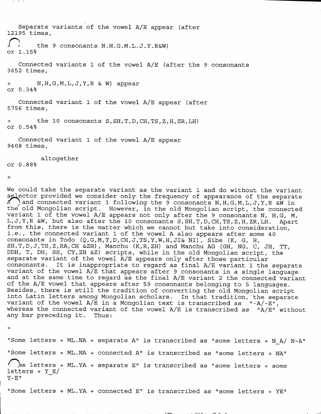**Separate variants of the vowel A/E appear (after 12195 times, j** *i* the 9 consonants N.H.G.M.L.J.Y.R&W)<br>or 1.15% **Connected variants 1 of the vowel A/E (after the <sup>9</sup> consonants 3652 times, > N,H,G,M,L,J,Y,R & W) appear or 0.34% Connected variant 1 of the vowel A/E appear (after 5756 times, <sup>&</sup>gt; the 10 consonants S,SH,T,D,CH,TS,Z,H,ZR,LH) or 0.54% Connected variant 1 of the vowel A/E appear 9408 times, altogether or 0.88%**

**>**

 $\cdots$ 

**We could take the separate variant as the variant 1 and do without the variant selector** provided we consider only the frequency of appearance of the separate<br>
A and connected variant 1 following the 9 consonants N.H.G.M.L.J.Y.R & W in **A ; and connected variant 1 following the <sup>9</sup> consonants N,H,G,M,L,J,Y,R &W in the' old Mongolian script. However, in the old Mongolian script, the connected variant 1 of the vowel A/E appears not only after the 9 consonants N, H,G, M, L,J,Y,R &W, but also after the 10 consonants S,SH,T,D,CH,TS,Z,H,ZR,LH. Apart from this, there is the matter which we cannot but take into consideration, i.e., the connected variant <sup>1</sup> of the vowel A also appears after some 40 consonants in Todo (Q,G,M,T,D,CH,J,TS,Y,W,H,JI& NI), Sibe (K, G, H, SH,T,D,J,TS,Z,RA,CH &ZH), Manchu (K,R,ZH) and Manchu AG (GH, NG, C, JH, TT, DDH, T, DH, SS, CY,ZH &Z) scripts, while in the old Mongolian script, the separate variant of the vowel A/E appears only after those particular consonants. It is inappropriate to regard as final A/E variant 1 the separate variant of the vowel A/E that appears after 9 consonants in a single language and at the same time to regard as the final A/E variant 2 the connected variant of the A/E vowel that appears after 59 consonants belonging to 5 languages. Besides, there is still the tradition of converting the old Mongolian script into Latin letters among Mongolian scholars. In that tradition, the separate variant of the vowel A/E in a Mongolian text is transcribed as "-A/-E", whereas the connected variant of the vowel A/E is transcribed as "A/E" without any bar preceding it. Thus:**

**>**

**"Some letters + ML.NA + separate A" is transcribed as "some letters + N\_A/ N-A" "Some letters + ML.NA + connected A" is transcribed as "some letters + NA" letters + ML.YA + separate E" is transcribed as "some letters + some letters + Y\_E/ Y-E"**

**Some letters + ML.YA + connected E is transcribed as "some letters + YE**